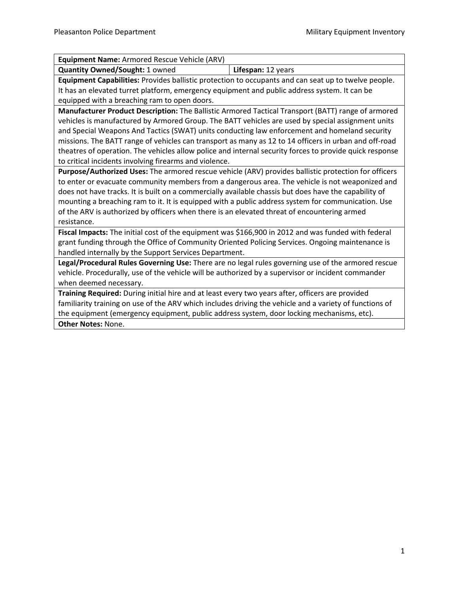| Equipment Name: Armored Rescue Vehicle (ARV)                                                            |                    |  |
|---------------------------------------------------------------------------------------------------------|--------------------|--|
| <b>Quantity Owned/Sought: 1 owned</b>                                                                   | Lifespan: 12 years |  |
| Equipment Capabilities: Provides ballistic protection to occupants and can seat up to twelve people.    |                    |  |
| It has an elevated turret platform, emergency equipment and public address system. It can be            |                    |  |
| equipped with a breaching ram to open doors.                                                            |                    |  |
| Manufacturer Product Description: The Ballistic Armored Tactical Transport (BATT) range of armored      |                    |  |
| vehicles is manufactured by Armored Group. The BATT vehicles are used by special assignment units       |                    |  |
| and Special Weapons And Tactics (SWAT) units conducting law enforcement and homeland security           |                    |  |
| missions. The BATT range of vehicles can transport as many as 12 to 14 officers in urban and off-road   |                    |  |
| theatres of operation. The vehicles allow police and internal security forces to provide quick response |                    |  |
| to critical incidents involving firearms and violence.                                                  |                    |  |
| Purpose/Authorized Uses: The armored rescue vehicle (ARV) provides ballistic protection for officers    |                    |  |
| to enter or evacuate community members from a dangerous area. The vehicle is not weaponized and         |                    |  |
| does not have tracks. It is built on a commercially available chassis but does have the capability of   |                    |  |
| mounting a breaching ram to it. It is equipped with a public address system for communication. Use      |                    |  |
| of the ARV is authorized by officers when there is an elevated threat of encountering armed             |                    |  |
| resistance.                                                                                             |                    |  |
| Fiscal Impacts: The initial cost of the equipment was \$166,900 in 2012 and was funded with federal     |                    |  |
| grant funding through the Office of Community Oriented Policing Services. Ongoing maintenance is        |                    |  |
| handled internally by the Support Services Department.                                                  |                    |  |
| Legal/Procedural Rules Governing Use: There are no legal rules governing use of the armored rescue      |                    |  |
| vehicle. Procedurally, use of the vehicle will be authorized by a supervisor or incident commander      |                    |  |
| when deemed necessary.                                                                                  |                    |  |
| Training Required: During initial hire and at least every two years after, officers are provided        |                    |  |
| familiarity training on use of the ARV which includes driving the vehicle and a variety of functions of |                    |  |
| the equipment (emergency equipment, public address system, door locking mechanisms, etc).               |                    |  |
| <b>Other Notes: None.</b>                                                                               |                    |  |
|                                                                                                         |                    |  |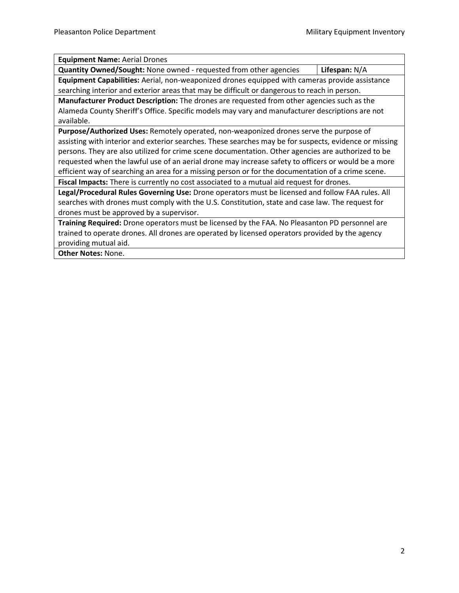**Equipment Name:** Aerial Drones

| <b>Quantity Owned/Sought:</b> None owned - requested from other agencies                       | Lifespan: $N/A$ |
|------------------------------------------------------------------------------------------------|-----------------|
| Equipment Capabilities: Aerial, non-weaponized drones equipped with cameras provide assistance |                 |

searching interior and exterior areas that may be difficult or dangerous to reach in person. **Manufacturer Product Description:** The drones are requested from other agencies such as the Alameda County Sheriff's Office. Specific models may vary and manufacturer descriptions are not available.

**Purpose/Authorized Uses:** Remotely operated, non-weaponized drones serve the purpose of assisting with interior and exterior searches. These searches may be for suspects, evidence or missing persons. They are also utilized for crime scene documentation. Other agencies are authorized to be requested when the lawful use of an aerial drone may increase safety to officers or would be a more efficient way of searching an area for a missing person or for the documentation of a crime scene. **Fiscal Impacts:** There is currently no cost associated to a mutual aid request for drones.

**Legal/Procedural Rules Governing Use:** Drone operators must be licensed and follow FAA rules. All searches with drones must comply with the U.S. Constitution, state and case law. The request for drones must be approved by a supervisor.

**Training Required:** Drone operators must be licensed by the FAA. No Pleasanton PD personnel are trained to operate drones. All drones are operated by licensed operators provided by the agency providing mutual aid.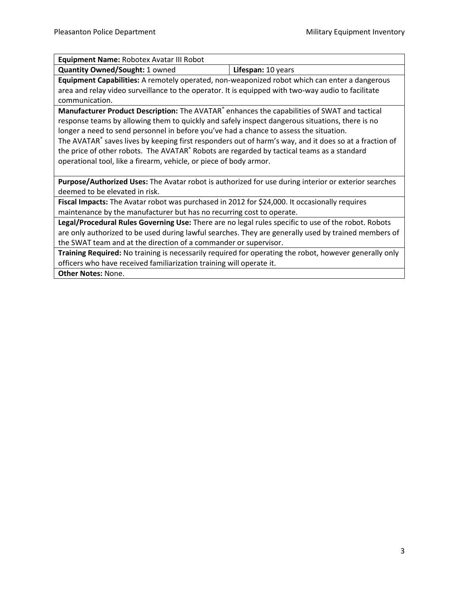| <b>Quantity Owned/Sought: 1 owned</b><br>Lifespan: 10 years<br>Equipment Capabilities: A remotely operated, non-weaponized robot which can enter a dangerous<br>area and relay video surveillance to the operator. It is equipped with two-way audio to facilitate<br>communication.<br>Manufacturer Product Description: The AVATAR® enhances the capabilities of SWAT and tactical<br>response teams by allowing them to quickly and safely inspect dangerous situations, there is no<br>longer a need to send personnel in before you've had a chance to assess the situation.<br>The AVATAR® saves lives by keeping first responders out of harm's way, and it does so at a fraction of<br>the price of other robots. The AVATAR® Robots are regarded by tactical teams as a standard<br>operational tool, like a firearm, vehicle, or piece of body armor.<br>Purpose/Authorized Uses: The Avatar robot is authorized for use during interior or exterior searches<br>deemed to be elevated in risk.<br>Fiscal Impacts: The Avatar robot was purchased in 2012 for \$24,000. It occasionally requires<br>maintenance by the manufacturer but has no recurring cost to operate.<br>Legal/Procedural Rules Governing Use: There are no legal rules specific to use of the robot. Robots<br>are only authorized to be used during lawful searches. They are generally used by trained members of | Equipment Name: Robotex Avatar III Robot |  |
|----------------------------------------------------------------------------------------------------------------------------------------------------------------------------------------------------------------------------------------------------------------------------------------------------------------------------------------------------------------------------------------------------------------------------------------------------------------------------------------------------------------------------------------------------------------------------------------------------------------------------------------------------------------------------------------------------------------------------------------------------------------------------------------------------------------------------------------------------------------------------------------------------------------------------------------------------------------------------------------------------------------------------------------------------------------------------------------------------------------------------------------------------------------------------------------------------------------------------------------------------------------------------------------------------------------------------------------------------------------------------------------------------|------------------------------------------|--|
|                                                                                                                                                                                                                                                                                                                                                                                                                                                                                                                                                                                                                                                                                                                                                                                                                                                                                                                                                                                                                                                                                                                                                                                                                                                                                                                                                                                                    |                                          |  |
|                                                                                                                                                                                                                                                                                                                                                                                                                                                                                                                                                                                                                                                                                                                                                                                                                                                                                                                                                                                                                                                                                                                                                                                                                                                                                                                                                                                                    |                                          |  |
|                                                                                                                                                                                                                                                                                                                                                                                                                                                                                                                                                                                                                                                                                                                                                                                                                                                                                                                                                                                                                                                                                                                                                                                                                                                                                                                                                                                                    |                                          |  |
|                                                                                                                                                                                                                                                                                                                                                                                                                                                                                                                                                                                                                                                                                                                                                                                                                                                                                                                                                                                                                                                                                                                                                                                                                                                                                                                                                                                                    |                                          |  |
|                                                                                                                                                                                                                                                                                                                                                                                                                                                                                                                                                                                                                                                                                                                                                                                                                                                                                                                                                                                                                                                                                                                                                                                                                                                                                                                                                                                                    |                                          |  |
|                                                                                                                                                                                                                                                                                                                                                                                                                                                                                                                                                                                                                                                                                                                                                                                                                                                                                                                                                                                                                                                                                                                                                                                                                                                                                                                                                                                                    |                                          |  |
|                                                                                                                                                                                                                                                                                                                                                                                                                                                                                                                                                                                                                                                                                                                                                                                                                                                                                                                                                                                                                                                                                                                                                                                                                                                                                                                                                                                                    |                                          |  |
|                                                                                                                                                                                                                                                                                                                                                                                                                                                                                                                                                                                                                                                                                                                                                                                                                                                                                                                                                                                                                                                                                                                                                                                                                                                                                                                                                                                                    |                                          |  |
|                                                                                                                                                                                                                                                                                                                                                                                                                                                                                                                                                                                                                                                                                                                                                                                                                                                                                                                                                                                                                                                                                                                                                                                                                                                                                                                                                                                                    |                                          |  |
|                                                                                                                                                                                                                                                                                                                                                                                                                                                                                                                                                                                                                                                                                                                                                                                                                                                                                                                                                                                                                                                                                                                                                                                                                                                                                                                                                                                                    |                                          |  |
|                                                                                                                                                                                                                                                                                                                                                                                                                                                                                                                                                                                                                                                                                                                                                                                                                                                                                                                                                                                                                                                                                                                                                                                                                                                                                                                                                                                                    |                                          |  |
| the SWAT team and at the direction of a commander or supervisor.                                                                                                                                                                                                                                                                                                                                                                                                                                                                                                                                                                                                                                                                                                                                                                                                                                                                                                                                                                                                                                                                                                                                                                                                                                                                                                                                   |                                          |  |

**Training Required:** No training is necessarily required for operating the robot, however generally only officers who have received familiarization training will operate it.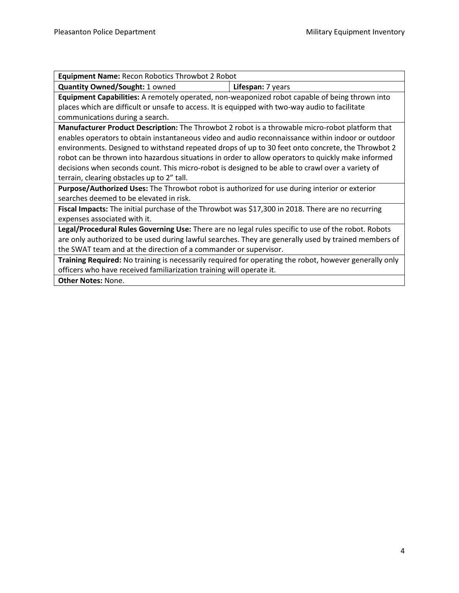| <b>Equipment Name: Recon Robotics Throwbot 2 Robot</b>                                                 |  |  |
|--------------------------------------------------------------------------------------------------------|--|--|
| <b>Quantity Owned/Sought: 1 owned</b><br>Lifespan: 7 years                                             |  |  |
| Equipment Capabilities: A remotely operated, non-weaponized robot capable of being thrown into         |  |  |
| places which are difficult or unsafe to access. It is equipped with two-way audio to facilitate        |  |  |
| communications during a search.                                                                        |  |  |
| Manufacturer Product Description: The Throwbot 2 robot is a throwable micro-robot platform that        |  |  |
| enables operators to obtain instantaneous video and audio reconnaissance within indoor or outdoor      |  |  |
| environments. Designed to withstand repeated drops of up to 30 feet onto concrete, the Throwbot 2      |  |  |
| robot can be thrown into hazardous situations in order to allow operators to quickly make informed     |  |  |
| decisions when seconds count. This micro-robot is designed to be able to crawl over a variety of       |  |  |
| terrain, clearing obstacles up to 2" tall.                                                             |  |  |
| Purpose/Authorized Uses: The Throwbot robot is authorized for use during interior or exterior          |  |  |
| searches deemed to be elevated in risk.                                                                |  |  |
| Fiscal Impacts: The initial purchase of the Throwbot was \$17,300 in 2018. There are no recurring      |  |  |
| expenses associated with it.                                                                           |  |  |
| Legal/Procedural Rules Governing Use: There are no legal rules specific to use of the robot. Robots    |  |  |
| are only authorized to be used during lawful searches. They are generally used by trained members of   |  |  |
| the SWAT team and at the direction of a commander or supervisor.                                       |  |  |
| Training Required: No training is necessarily required for operating the robot, however generally only |  |  |
| officers who have received familiarization training will operate it.                                   |  |  |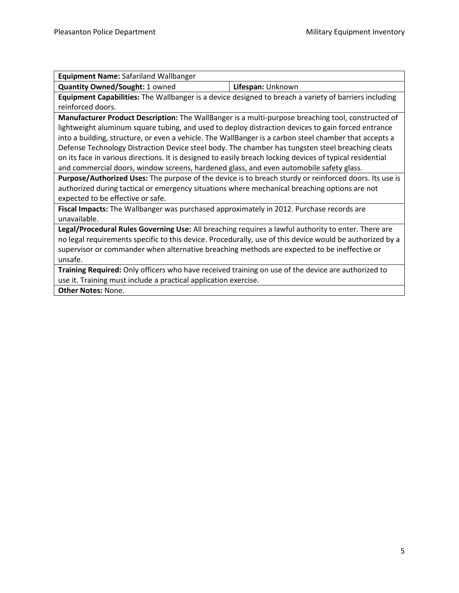| Equipment Name: Safariland Wallbanger                                                                     |                   |  |
|-----------------------------------------------------------------------------------------------------------|-------------------|--|
| <b>Quantity Owned/Sought: 1 owned</b>                                                                     | Lifespan: Unknown |  |
| Equipment Capabilities: The Wallbanger is a device designed to breach a variety of barriers including     |                   |  |
| reinforced doors.                                                                                         |                   |  |
| Manufacturer Product Description: The WallBanger is a multi-purpose breaching tool, constructed of        |                   |  |
| lightweight aluminum square tubing, and used to deploy distraction devices to gain forced entrance        |                   |  |
| into a building, structure, or even a vehicle. The WallBanger is a carbon steel chamber that accepts a    |                   |  |
| Defense Technology Distraction Device steel body. The chamber has tungsten steel breaching cleats         |                   |  |
| on its face in various directions. It is designed to easily breach locking devices of typical residential |                   |  |
| and commercial doors, window screens, hardened glass, and even automobile safety glass.                   |                   |  |
| Purpose/Authorized Uses: The purpose of the device is to breach sturdy or reinforced doors. Its use is    |                   |  |
| authorized during tactical or emergency situations where mechanical breaching options are not             |                   |  |
| expected to be effective or safe.                                                                         |                   |  |
| Fiscal Impacts: The Wallbanger was purchased approximately in 2012. Purchase records are                  |                   |  |
| unavailable.                                                                                              |                   |  |
| Legal/Procedural Rules Governing Use: All breaching requires a lawful authority to enter. There are       |                   |  |
| no legal requirements specific to this device. Procedurally, use of this device would be authorized by a  |                   |  |
| supervisor or commander when alternative breaching methods are expected to be ineffective or              |                   |  |
| unsafe.                                                                                                   |                   |  |
| Training Required: Only officers who have received training on use of the device are authorized to        |                   |  |
| use it. Training must include a practical application exercise.                                           |                   |  |
| <b>Other Notes: None.</b>                                                                                 |                   |  |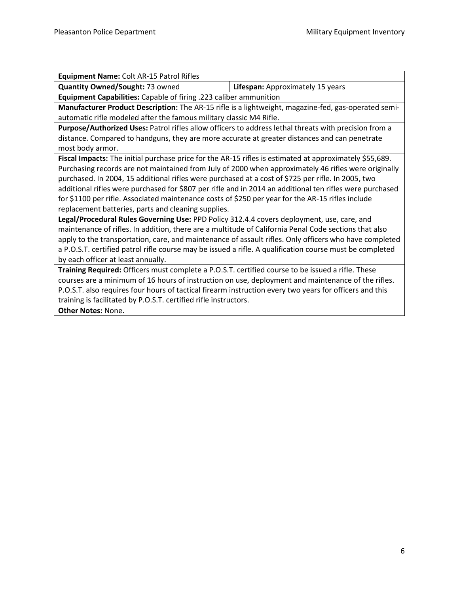| Equipment Name: Colt AR-15 Patrol Rifles                                                                 |                                  |  |
|----------------------------------------------------------------------------------------------------------|----------------------------------|--|
| Quantity Owned/Sought: 73 owned                                                                          | Lifespan: Approximately 15 years |  |
| Equipment Capabilities: Capable of firing .223 caliber ammunition                                        |                                  |  |
| Manufacturer Product Description: The AR-15 rifle is a lightweight, magazine-fed, gas-operated semi-     |                                  |  |
| automatic rifle modeled after the famous military classic M4 Rifle.                                      |                                  |  |
| Purpose/Authorized Uses: Patrol rifles allow officers to address lethal threats with precision from a    |                                  |  |
| distance. Compared to handguns, they are more accurate at greater distances and can penetrate            |                                  |  |
| most body armor.                                                                                         |                                  |  |
| Fiscal Impacts: The initial purchase price for the AR-15 rifles is estimated at approximately \$55,689.  |                                  |  |
| Purchasing records are not maintained from July of 2000 when approximately 46 rifles were originally     |                                  |  |
| purchased. In 2004, 15 additional rifles were purchased at a cost of \$725 per rifle. In 2005, two       |                                  |  |
| additional rifles were purchased for \$807 per rifle and in 2014 an additional ten rifles were purchased |                                  |  |
| for \$1100 per rifle. Associated maintenance costs of \$250 per year for the AR-15 rifles include        |                                  |  |
| replacement batteries, parts and cleaning supplies.                                                      |                                  |  |
| Legal/Procedural Rules Governing Use: PPD Policy 312.4.4 covers deployment, use, care, and               |                                  |  |
| maintenance of rifles. In addition, there are a multitude of California Penal Code sections that also    |                                  |  |
| apply to the transportation, care, and maintenance of assault rifles. Only officers who have completed   |                                  |  |
| a P.O.S.T. certified patrol rifle course may be issued a rifle. A qualification course must be completed |                                  |  |
| by each officer at least annually.                                                                       |                                  |  |
| Training Required: Officers must complete a P.O.S.T. certified course to be issued a rifle. These        |                                  |  |
| courses are a minimum of 16 hours of instruction on use, deployment and maintenance of the rifles.       |                                  |  |
| P.O.S.T. also requires four hours of tactical firearm instruction every two years for officers and this  |                                  |  |
| training is facilitated by P.O.S.T. certified rifle instructors.                                         |                                  |  |
| <b>Other Notes: None.</b>                                                                                |                                  |  |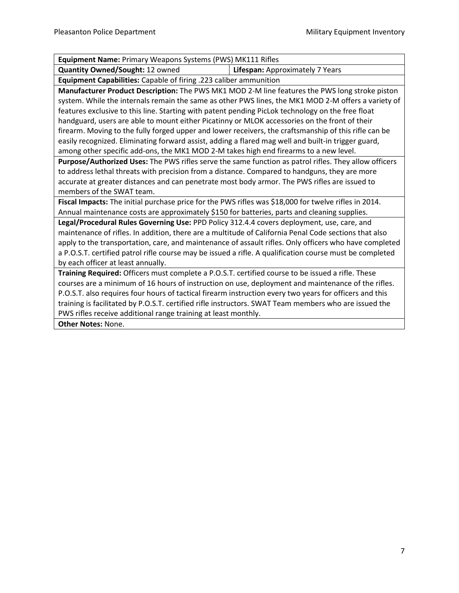| <b>Equipment Name: Primary Weapons Systems (PWS) MK111 Rifles</b>                                        |                                 |  |
|----------------------------------------------------------------------------------------------------------|---------------------------------|--|
| Quantity Owned/Sought: 12 owned                                                                          | Lifespan: Approximately 7 Years |  |
| Equipment Capabilities: Capable of firing .223 caliber ammunition                                        |                                 |  |
| Manufacturer Product Description: The PWS MK1 MOD 2-M line features the PWS long stroke piston           |                                 |  |
| system. While the internals remain the same as other PWS lines, the MK1 MOD 2-M offers a variety of      |                                 |  |
| features exclusive to this line. Starting with patent pending PicLok technology on the free float        |                                 |  |
| handguard, users are able to mount either Picatinny or MLOK accessories on the front of their            |                                 |  |
| firearm. Moving to the fully forged upper and lower receivers, the craftsmanship of this rifle can be    |                                 |  |
| easily recognized. Eliminating forward assist, adding a flared mag well and built-in trigger guard,      |                                 |  |
| among other specific add-ons, the MK1 MOD 2-M takes high end firearms to a new level.                    |                                 |  |
| Purpose/Authorized Uses: The PWS rifles serve the same function as patrol rifles. They allow officers    |                                 |  |
| to address lethal threats with precision from a distance. Compared to handguns, they are more            |                                 |  |
| accurate at greater distances and can penetrate most body armor. The PWS rifles are issued to            |                                 |  |
| members of the SWAT team.                                                                                |                                 |  |
| Fiscal Impacts: The initial purchase price for the PWS rifles was \$18,000 for twelve rifles in 2014.    |                                 |  |
| Annual maintenance costs are approximately \$150 for batteries, parts and cleaning supplies.             |                                 |  |
| Legal/Procedural Rules Governing Use: PPD Policy 312.4.4 covers deployment, use, care, and               |                                 |  |
| maintenance of rifles. In addition, there are a multitude of California Penal Code sections that also    |                                 |  |
| apply to the transportation, care, and maintenance of assault rifles. Only officers who have completed   |                                 |  |
| a P.O.S.T. certified patrol rifle course may be issued a rifle. A qualification course must be completed |                                 |  |
| by each officer at least annually.                                                                       |                                 |  |
| Training Required: Officers must complete a P.O.S.T. certified course to be issued a rifle. These        |                                 |  |
| courses are a minimum of 16 hours of instruction on use, deployment and maintenance of the rifles.       |                                 |  |
| P.O.S.T. also requires four hours of tactical firearm instruction every two years for officers and this  |                                 |  |
| training is facilitated by P.O.S.T. certified rifle instructors. SWAT Team members who are issued the    |                                 |  |
| PWS rifles receive additional range training at least monthly.                                           |                                 |  |
| <b>Other Notes: None.</b>                                                                                |                                 |  |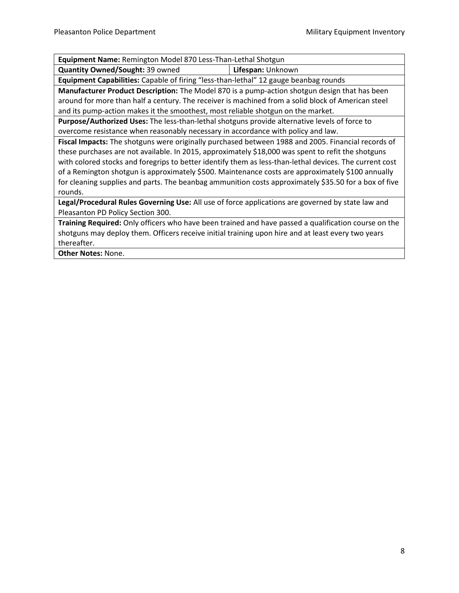| Equipment Name: Remington Model 870 Less-Than-Lethal Shotgun                                            |                   |  |
|---------------------------------------------------------------------------------------------------------|-------------------|--|
| <b>Quantity Owned/Sought: 39 owned</b>                                                                  | Lifespan: Unknown |  |
| Equipment Capabilities: Capable of firing "less-than-lethal" 12 gauge beanbag rounds                    |                   |  |
| Manufacturer Product Description: The Model 870 is a pump-action shotgun design that has been           |                   |  |
| around for more than half a century. The receiver is machined from a solid block of American steel      |                   |  |
| and its pump-action makes it the smoothest, most reliable shotgun on the market.                        |                   |  |
| Purpose/Authorized Uses: The less-than-lethal shotguns provide alternative levels of force to           |                   |  |
| overcome resistance when reasonably necessary in accordance with policy and law.                        |                   |  |
| Fiscal Impacts: The shotguns were originally purchased between 1988 and 2005. Financial records of      |                   |  |
| these purchases are not available. In 2015, approximately \$18,000 was spent to refit the shotguns      |                   |  |
| with colored stocks and foregrips to better identify them as less-than-lethal devices. The current cost |                   |  |
| of a Remington shotgun is approximately \$500. Maintenance costs are approximately \$100 annually       |                   |  |
| for cleaning supplies and parts. The beanbag ammunition costs approximately \$35.50 for a box of five   |                   |  |
| rounds.                                                                                                 |                   |  |
| Legal/Procedural Rules Governing Use: All use of force applications are governed by state law and       |                   |  |
| Pleasanton PD Policy Section 300.                                                                       |                   |  |
| Training Required: Only officers who have been trained and have passed a qualification course on the    |                   |  |
| shotguns may deploy them. Officers receive initial training upon hire and at least every two years      |                   |  |
| thereafter.                                                                                             |                   |  |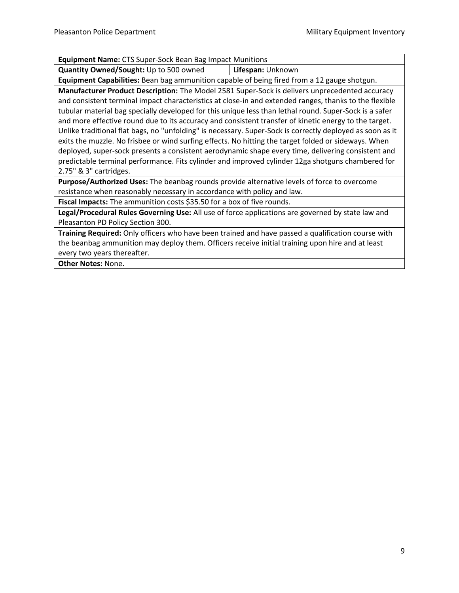| <b>Equipment Name:</b> CTS Super-Sock Bean Bag Impact Munitions |                   |  |
|-----------------------------------------------------------------|-------------------|--|
| Quantity Owned/Sought: Up to 500 owned                          | Lifespan: Unknown |  |

**Equipment Capabilities:** Bean bag ammunition capable of being fired from a 12 gauge shotgun.

**Manufacturer Product Description:** The Model 2581 Super-Sock is delivers unprecedented accuracy and consistent terminal impact characteristics at close-in and extended ranges, thanks to the flexible tubular material bag specially developed for this unique less than lethal round. Super-Sock is a safer and more effective round due to its accuracy and consistent transfer of kinetic energy to the target. Unlike traditional flat bags, no "unfolding" is necessary. Super-Sock is correctly deployed as soon as it exits the muzzle. No frisbee or wind surfing effects. No hitting the target folded or sideways. When deployed, super-sock presents a consistent aerodynamic shape every time, delivering consistent and predictable terminal performance. Fits cylinder and improved cylinder 12ga shotguns chambered for 2.75" & 3" cartridges.

**Purpose/Authorized Uses:** The beanbag rounds provide alternative levels of force to overcome resistance when reasonably necessary in accordance with policy and law.

**Fiscal Impacts:** The ammunition costs \$35.50 for a box of five rounds.

**Legal/Procedural Rules Governing Use:** All use of force applications are governed by state law and Pleasanton PD Policy Section 300.

**Training Required:** Only officers who have been trained and have passed a qualification course with the beanbag ammunition may deploy them. Officers receive initial training upon hire and at least every two years thereafter.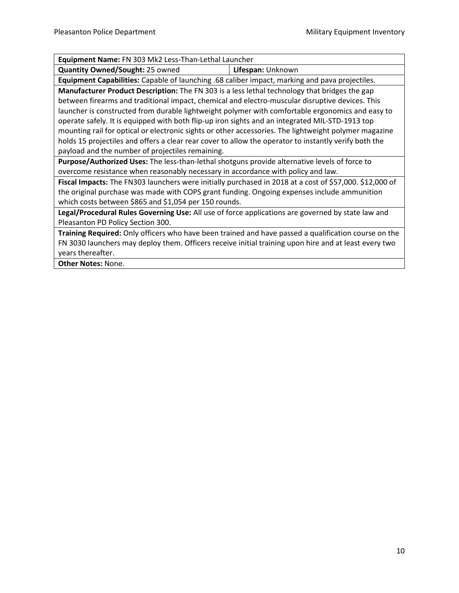| Equipment Name: FN 303 Mk2 Less-Than-Lethal Launcher                                                    |                                                                                                |  |  |
|---------------------------------------------------------------------------------------------------------|------------------------------------------------------------------------------------------------|--|--|
| <b>Quantity Owned/Sought: 25 owned</b>                                                                  | Lifespan: Unknown                                                                              |  |  |
|                                                                                                         | Equipment Capabilities: Capable of launching .68 caliber impact, marking and pava projectiles. |  |  |
| Manufacturer Product Description: The FN 303 is a less lethal technology that bridges the gap           |                                                                                                |  |  |
| between firearms and traditional impact, chemical and electro-muscular disruptive devices. This         |                                                                                                |  |  |
| launcher is constructed from durable lightweight polymer with comfortable ergonomics and easy to        |                                                                                                |  |  |
| operate safely. It is equipped with both flip-up iron sights and an integrated MIL-STD-1913 top         |                                                                                                |  |  |
| mounting rail for optical or electronic sights or other accessories. The lightweight polymer magazine   |                                                                                                |  |  |
| holds 15 projectiles and offers a clear rear cover to allow the operator to instantly verify both the   |                                                                                                |  |  |
| payload and the number of projectiles remaining.                                                        |                                                                                                |  |  |
| Purpose/Authorized Uses: The less-than-lethal shotguns provide alternative levels of force to           |                                                                                                |  |  |
| overcome resistance when reasonably necessary in accordance with policy and law.                        |                                                                                                |  |  |
| Fiscal Impacts: The FN303 launchers were initially purchased in 2018 at a cost of \$57,000. \$12,000 of |                                                                                                |  |  |
| the original purchase was made with COPS grant funding. Ongoing expenses include ammunition             |                                                                                                |  |  |
| which costs between \$865 and \$1,054 per 150 rounds.                                                   |                                                                                                |  |  |
| Legal/Procedural Rules Governing Use: All use of force applications are governed by state law and       |                                                                                                |  |  |
| Pleasanton PD Policy Section 300.                                                                       |                                                                                                |  |  |
| Training Required: Only officers who have been trained and have passed a qualification course on the    |                                                                                                |  |  |
| FN 3030 launchers may deploy them. Officers receive initial training upon hire and at least every two   |                                                                                                |  |  |
| years thereafter.                                                                                       |                                                                                                |  |  |
| <b>Other Notes: None.</b>                                                                               |                                                                                                |  |  |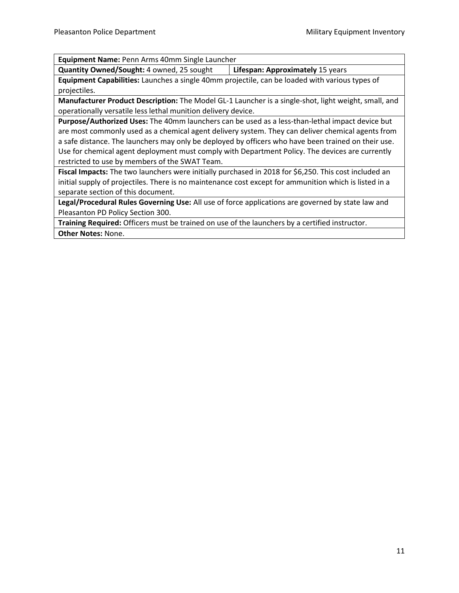**Equipment Name:** Penn Arms 40mm Single Launcher

**Quantity Owned/Sought:** 4 owned, 25 sought **Lifespan: Approximately** 15 years

**Equipment Capabilities:** Launches a single 40mm projectile, can be loaded with various types of projectiles.

**Manufacturer Product Description:** The Model GL-1 Launcher is a single-shot, light weight, small, and operationally versatile less lethal munition delivery device.

**Purpose/Authorized Uses:** The 40mm launchers can be used as a less-than-lethal impact device but are most commonly used as a chemical agent delivery system. They can deliver chemical agents from a safe distance. The launchers may only be deployed by officers who have been trained on their use. Use for chemical agent deployment must comply with Department Policy. The devices are currently restricted to use by members of the SWAT Team.

**Fiscal Impacts:** The two launchers were initially purchased in 2018 for \$6,250. This cost included an initial supply of projectiles. There is no maintenance cost except for ammunition which is listed in a separate section of this document.

**Legal/Procedural Rules Governing Use:** All use of force applications are governed by state law and Pleasanton PD Policy Section 300.

**Training Required:** Officers must be trained on use of the launchers by a certified instructor. **Other Notes:** None.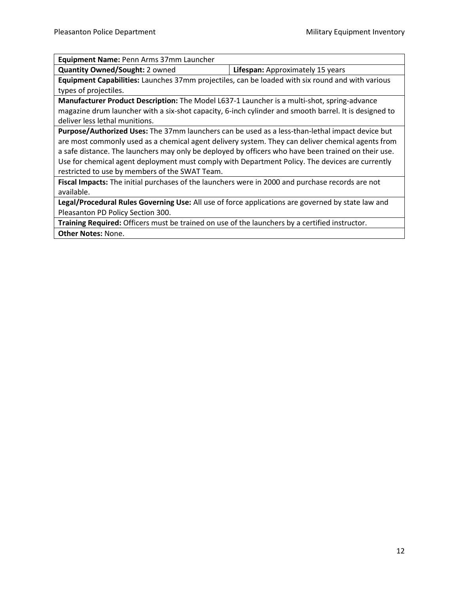| Equipment Name: Penn Arms 37mm Launcher |        |
|-----------------------------------------|--------|
|                                         | $\Box$ |

**Quantity Owned/Sought:** 2 owned **Lifespan:** Approximately 15 years **Equipment Capabilities:** Launches 37mm projectiles, can be loaded with six round and with various

types of projectiles. **Manufacturer Product Description:** The Model L637-1 Launcher is a multi-shot, spring-advance magazine drum launcher with a six-shot capacity, 6-inch cylinder and smooth barrel. It is designed to deliver less lethal munitions.

**Purpose/Authorized Uses:** The 37mm launchers can be used as a less-than-lethal impact device but are most commonly used as a chemical agent delivery system. They can deliver chemical agents from a safe distance. The launchers may only be deployed by officers who have been trained on their use. Use for chemical agent deployment must comply with Department Policy. The devices are currently restricted to use by members of the SWAT Team.

**Fiscal Impacts:** The initial purchases of the launchers were in 2000 and purchase records are not available.

**Legal/Procedural Rules Governing Use:** All use of force applications are governed by state law and Pleasanton PD Policy Section 300.

**Training Required:** Officers must be trained on use of the launchers by a certified instructor. **Other Notes:** None.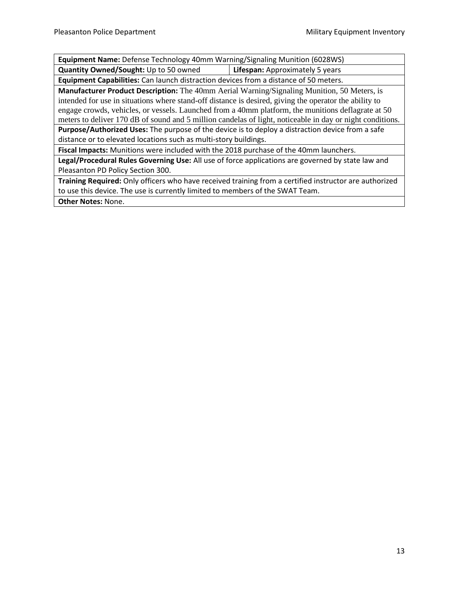| <b>Equipment Name:</b> Defense Technology 40mm Warning/Signaling Munition (6028WS) |                                        |  |
|------------------------------------------------------------------------------------|----------------------------------------|--|
| Quantity Owned/Sought: Up to 50 owned                                              | <b>Lifespan:</b> Approximately 5 years |  |

**Equipment Capabilities:** Can launch distraction devices from a distance of 50 meters.

**Manufacturer Product Description:** The 40mm Aerial Warning/Signaling Munition, 50 Meters, is intended for use in situations where stand-off distance is desired, giving the operator the ability to engage crowds, vehicles, or vessels. Launched from a 40mm platform, the munitions deflagrate at 50 meters to deliver 170 dB of sound and 5 million candelas of light, noticeable in day or night conditions.

**Purpose/Authorized Uses:** The purpose of the device is to deploy a distraction device from a safe distance or to elevated locations such as multi-story buildings.

**Fiscal Impacts:** Munitions were included with the 2018 purchase of the 40mm launchers.

**Legal/Procedural Rules Governing Use:** All use of force applications are governed by state law and Pleasanton PD Policy Section 300.

**Training Required:** Only officers who have received training from a certified instructor are authorized to use this device. The use is currently limited to members of the SWAT Team.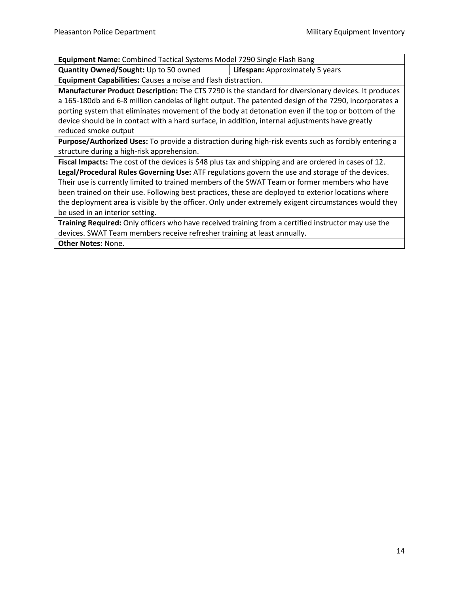**Equipment Name:** Combined Tactical Systems Model 7290 Single Flash Bang

**Quantity Owned/Sought:** Up to 50 owned **Lifespan:** Approximately 5 years

**Equipment Capabilities:** Causes a noise and flash distraction.

**Manufacturer Product Description:** The CTS 7290 is the standard for diversionary devices. It produces a 165-180db and 6-8 million candelas of light output. The patented design of the 7290, incorporates a porting system that eliminates movement of the body at detonation even if the top or bottom of the device should be in contact with a hard surface, in addition, internal adjustments have greatly reduced smoke output

**Purpose/Authorized Uses:** To provide a distraction during high-risk events such as forcibly entering a structure during a high-risk apprehension.

**Fiscal Impacts:** The cost of the devices is \$48 plus tax and shipping and are ordered in cases of 12.

**Legal/Procedural Rules Governing Use:** ATF regulations govern the use and storage of the devices. Their use is currently limited to trained members of the SWAT Team or former members who have been trained on their use. Following best practices, these are deployed to exterior locations where the deployment area is visible by the officer. Only under extremely exigent circumstances would they be used in an interior setting.

**Training Required:** Only officers who have received training from a certified instructor may use the devices. SWAT Team members receive refresher training at least annually.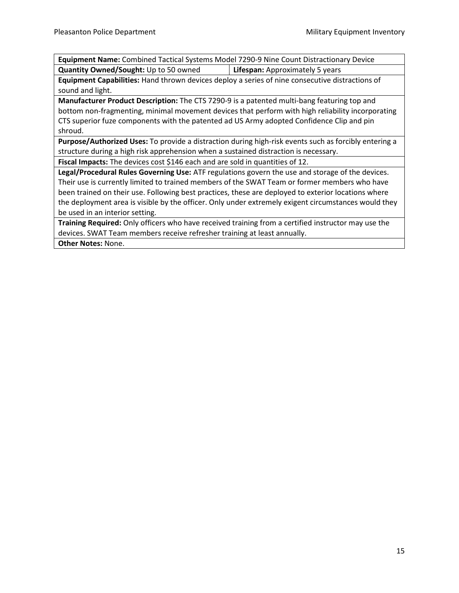**Equipment Name:** Combined Tactical Systems Model 7290-9 Nine Count Distractionary Device **Quantity Owned/Sought:** Up to 50 owned **Lifespan:** Approximately 5 years

**Equipment Capabilities:** Hand thrown devices deploy a series of nine consecutive distractions of sound and light.

**Manufacturer Product Description:** The CTS 7290-9 is a patented multi-bang featuring top and bottom non-fragmenting, minimal movement devices that perform with high reliability incorporating CTS superior fuze components with the patented ad US Army adopted Confidence Clip and pin shroud.

**Purpose/Authorized Uses:** To provide a distraction during high-risk events such as forcibly entering a structure during a high risk apprehension when a sustained distraction is necessary.

**Fiscal Impacts:** The devices cost \$146 each and are sold in quantities of 12.

**Legal/Procedural Rules Governing Use:** ATF regulations govern the use and storage of the devices. Their use is currently limited to trained members of the SWAT Team or former members who have been trained on their use. Following best practices, these are deployed to exterior locations where the deployment area is visible by the officer. Only under extremely exigent circumstances would they be used in an interior setting.

**Training Required:** Only officers who have received training from a certified instructor may use the devices. SWAT Team members receive refresher training at least annually.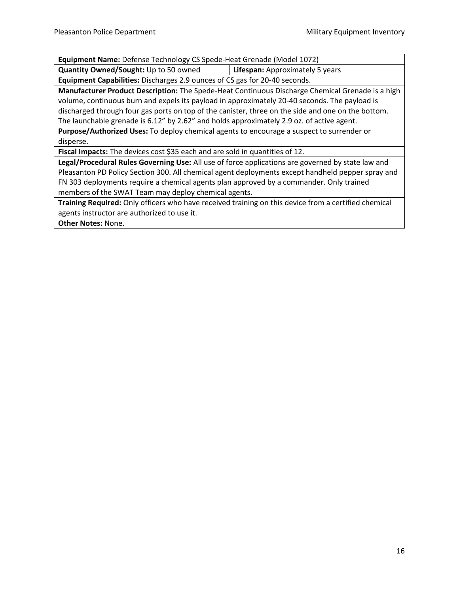**Equipment Name:** Defense Technology CS Spede-Heat Grenade (Model 1072)

**Quantity Owned/Sought:** Up to 50 owned **Lifespan:** Approximately 5 years

**Equipment Capabilities:** Discharges 2.9 ounces of CS gas for 20-40 seconds.

**Manufacturer Product Description:** The Spede-Heat Continuous Discharge Chemical Grenade is a high volume, continuous burn and expels its payload in approximately 20-40 seconds. The payload is discharged through four gas ports on top of the canister, three on the side and one on the bottom. The launchable grenade is 6.12" by 2.62" and holds approximately 2.9 oz. of active agent.

**Purpose/Authorized Uses:** To deploy chemical agents to encourage a suspect to surrender or disperse.

**Fiscal Impacts:** The devices cost \$35 each and are sold in quantities of 12.

**Legal/Procedural Rules Governing Use:** All use of force applications are governed by state law and Pleasanton PD Policy Section 300. All chemical agent deployments except handheld pepper spray and FN 303 deployments require a chemical agents plan approved by a commander. Only trained members of the SWAT Team may deploy chemical agents.

**Training Required:** Only officers who have received training on this device from a certified chemical agents instructor are authorized to use it.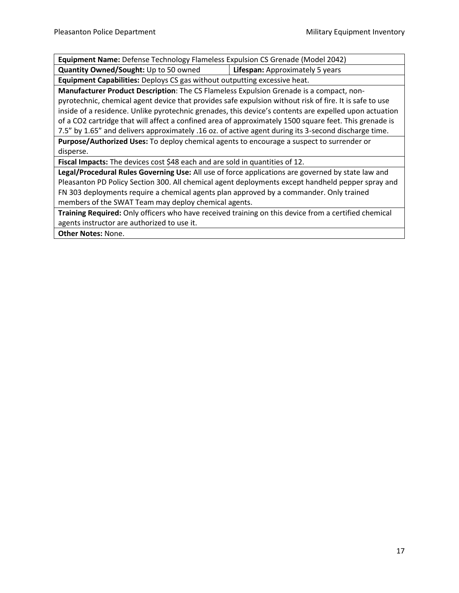| <b>Equipment Name:</b> Defense Technology Flameless Expulsion CS Grenade (Model 2042) |                                        |
|---------------------------------------------------------------------------------------|----------------------------------------|
| Quantity Owned/Sought: Up to 50 owned                                                 | <b>Lifespan:</b> Approximately 5 years |

**Equipment Capabilities:** Deploys CS gas without outputting excessive heat.

**Manufacturer Product Description**: The CS Flameless Expulsion Grenade is a compact, nonpyrotechnic, chemical agent device that provides safe expulsion without risk of fire. It is safe to use inside of a residence. Unlike pyrotechnic grenades, this device's contents are expelled upon actuation of a CO2 cartridge that will affect a confined area of approximately 1500 square feet. This grenade is 7.5" by 1.65" and delivers approximately .16 oz. of active agent during its 3-second discharge time.

**Purpose/Authorized Uses:** To deploy chemical agents to encourage a suspect to surrender or disperse.

**Fiscal Impacts:** The devices cost \$48 each and are sold in quantities of 12.

**Legal/Procedural Rules Governing Use:** All use of force applications are governed by state law and Pleasanton PD Policy Section 300. All chemical agent deployments except handheld pepper spray and FN 303 deployments require a chemical agents plan approved by a commander. Only trained members of the SWAT Team may deploy chemical agents.

**Training Required:** Only officers who have received training on this device from a certified chemical agents instructor are authorized to use it.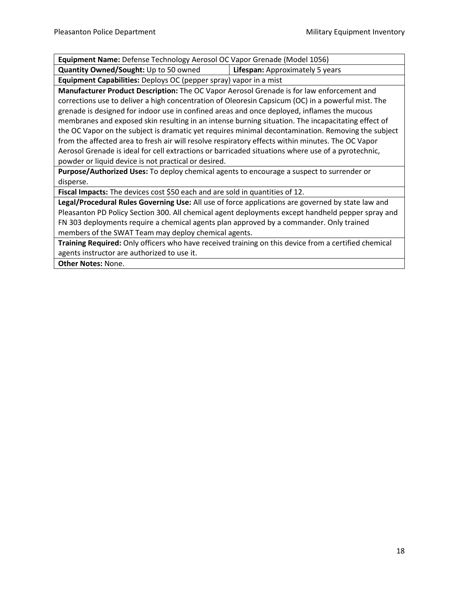| Equipment Name: Defense Technology Aerosol OC Vapor Grenade (Model 1056)                           |                                 |  |
|----------------------------------------------------------------------------------------------------|---------------------------------|--|
| Quantity Owned/Sought: Up to 50 owned                                                              | Lifespan: Approximately 5 years |  |
| Equipment Capabilities: Deploys OC (pepper spray) vapor in a mist                                  |                                 |  |
| Manufacturer Product Description: The OC Vapor Aerosol Grenade is for law enforcement and          |                                 |  |
| corrections use to deliver a high concentration of Oleoresin Capsicum (OC) in a powerful mist. The |                                 |  |
| grenade is designed for indoor use in confined areas and once deployed, inflames the mucous        |                                 |  |
| membranes and exposed skin resulting in an intense burning situation. The incapacitating effect of |                                 |  |
| the OC Vapor on the subject is dramatic yet requires minimal decontamination. Removing the subject |                                 |  |
| from the affected area to fresh air will resolve respiratory effects within minutes. The OC Vapor  |                                 |  |
| Aerosol Grenade is ideal for cell extractions or barricaded situations where use of a pyrotechnic, |                                 |  |
| powder or liquid device is not practical or desired.                                               |                                 |  |
| Purpose/Authorized Uses: To deploy chemical agents to encourage a suspect to surrender or          |                                 |  |
| disperse.                                                                                          |                                 |  |
| Fiscal Impacts: The devices cost \$50 each and are sold in quantities of 12.                       |                                 |  |
| Legal/Procedural Rules Governing Use: All use of force applications are governed by state law and  |                                 |  |
| Pleasanton PD Policy Section 300. All chemical agent deployments except handheld pepper spray and  |                                 |  |
| FN 303 deployments require a chemical agents plan approved by a commander. Only trained            |                                 |  |
| members of the SWAT Team may deploy chemical agents.                                               |                                 |  |

**Training Required:** Only officers who have received training on this device from a certified chemical agents instructor are authorized to use it.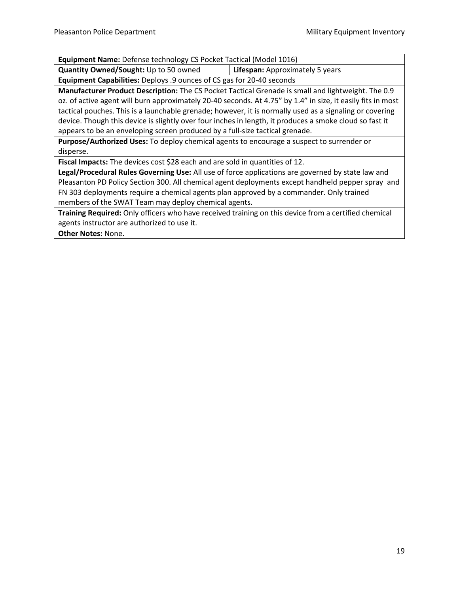**Equipment Name:** Defense technology CS Pocket Tactical (Model 1016)

**Quantity Owned/Sought:** Up to 50 owned **Lifespan:** Approximately 5 years

**Equipment Capabilities:** Deploys .9 ounces of CS gas for 20-40 seconds

**Manufacturer Product Description:** The CS Pocket Tactical Grenade is small and lightweight. The 0.9 oz. of active agent will burn approximately 20-40 seconds. At 4.75" by 1.4" in size, it easily fits in most tactical pouches. This is a launchable grenade; however, it is normally used as a signaling or covering device. Though this device is slightly over four inches in length, it produces a smoke cloud so fast it appears to be an enveloping screen produced by a full-size tactical grenade.

**Purpose/Authorized Uses:** To deploy chemical agents to encourage a suspect to surrender or disperse.

**Fiscal Impacts:** The devices cost \$28 each and are sold in quantities of 12.

**Legal/Procedural Rules Governing Use:** All use of force applications are governed by state law and Pleasanton PD Policy Section 300. All chemical agent deployments except handheld pepper spray and FN 303 deployments require a chemical agents plan approved by a commander. Only trained members of the SWAT Team may deploy chemical agents.

**Training Required:** Only officers who have received training on this device from a certified chemical agents instructor are authorized to use it.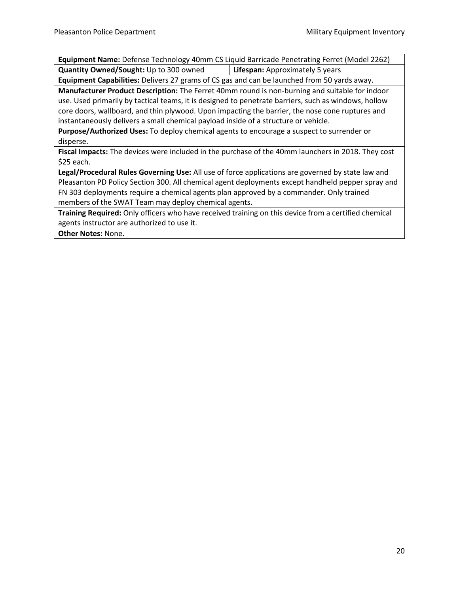**Equipment Name:** Defense Technology 40mm CS Liquid Barricade Penetrating Ferret (Model 2262) **Quantity Owned/Sought:** Up to 300 owned **Lifespan:** Approximately 5 years

**Equipment Capabilities:** Delivers 27 grams of CS gas and can be launched from 50 yards away.

**Manufacturer Product Description:** The Ferret 40mm round is non-burning and suitable for indoor use. Used primarily by tactical teams, it is designed to penetrate barriers, such as windows, hollow core doors, wallboard, and thin plywood. Upon impacting the barrier, the nose cone ruptures and instantaneously delivers a small chemical payload inside of a structure or vehicle.

**Purpose/Authorized Uses:** To deploy chemical agents to encourage a suspect to surrender or disperse.

**Fiscal Impacts:** The devices were included in the purchase of the 40mm launchers in 2018. They cost \$25 each.

**Legal/Procedural Rules Governing Use:** All use of force applications are governed by state law and Pleasanton PD Policy Section 300. All chemical agent deployments except handheld pepper spray and FN 303 deployments require a chemical agents plan approved by a commander. Only trained members of the SWAT Team may deploy chemical agents.

**Training Required:** Only officers who have received training on this device from a certified chemical agents instructor are authorized to use it.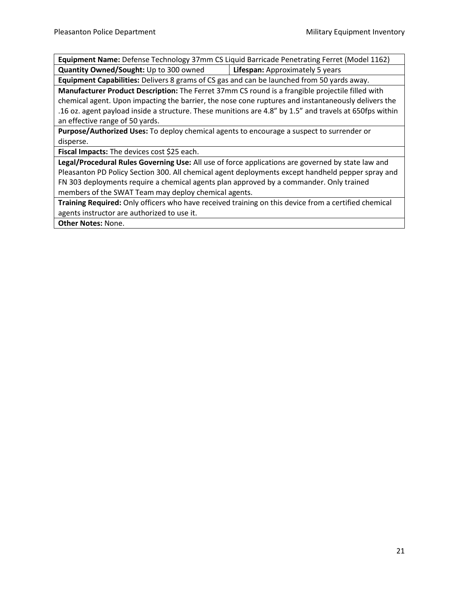**Equipment Name:** Defense Technology 37mm CS Liquid Barricade Penetrating Ferret (Model 1162) **Quantity Owned/Sought:** Up to 300 owned **Lifespan:** Approximately 5 years

**Equipment Capabilities:** Delivers 8 grams of CS gas and can be launched from 50 yards away.

**Manufacturer Product Description:** The Ferret 37mm CS round is a frangible projectile filled with chemical agent. Upon impacting the barrier, the nose cone ruptures and instantaneously delivers the .16 oz. agent payload inside a structure. These munitions are 4.8" by 1.5" and travels at 650fps within an effective range of 50 yards.

**Purpose/Authorized Uses:** To deploy chemical agents to encourage a suspect to surrender or disperse.

**Fiscal Impacts:** The devices cost \$25 each.

**Legal/Procedural Rules Governing Use:** All use of force applications are governed by state law and Pleasanton PD Policy Section 300. All chemical agent deployments except handheld pepper spray and FN 303 deployments require a chemical agents plan approved by a commander. Only trained members of the SWAT Team may deploy chemical agents.

**Training Required:** Only officers who have received training on this device from a certified chemical agents instructor are authorized to use it.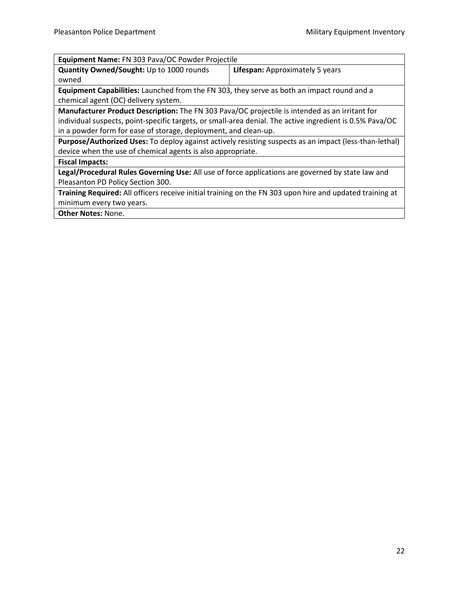| Equipment Name: FN 303 Pava/OC Powder Projectile                                                         |                                 |  |
|----------------------------------------------------------------------------------------------------------|---------------------------------|--|
| Quantity Owned/Sought: Up to 1000 rounds                                                                 | Lifespan: Approximately 5 years |  |
| owned                                                                                                    |                                 |  |
| <b>Equipment Capabilities:</b> Launched from the FN 303, they serve as both an impact round and a        |                                 |  |
| chemical agent (OC) delivery system.                                                                     |                                 |  |
| Manufacturer Product Description: The FN 303 Pava/OC projectile is intended as an irritant for           |                                 |  |
| individual suspects, point-specific targets, or small-area denial. The active ingredient is 0.5% Pava/OC |                                 |  |
| in a powder form for ease of storage, deployment, and clean-up.                                          |                                 |  |
| Purpose/Authorized Uses: To deploy against actively resisting suspects as an impact (less-than-lethal)   |                                 |  |
| device when the use of chemical agents is also appropriate.                                              |                                 |  |
| <b>Fiscal Impacts:</b>                                                                                   |                                 |  |
| Legal/Procedural Rules Governing Use: All use of force applications are governed by state law and        |                                 |  |
| Pleasanton PD Policy Section 300.                                                                        |                                 |  |
| Training Required: All officers receive initial training on the FN 303 upon hire and updated training at |                                 |  |
| minimum every two years.                                                                                 |                                 |  |
| <b>Other Notes: None.</b>                                                                                |                                 |  |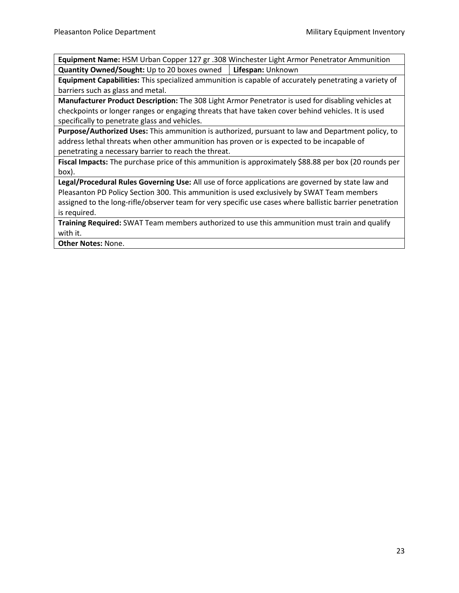**Equipment Name:** HSM Urban Copper 127 gr .308 Winchester Light Armor Penetrator Ammunition **Quantity Owned/Sought:** Up to 20 boxes owned **Lifespan:** Unknown

**Equipment Capabilities:** This specialized ammunition is capable of accurately penetrating a variety of barriers such as glass and metal.

**Manufacturer Product Description:** The 308 Light Armor Penetrator is used for disabling vehicles at checkpoints or longer ranges or engaging threats that have taken cover behind vehicles. It is used specifically to penetrate glass and vehicles.

**Purpose/Authorized Uses:** This ammunition is authorized, pursuant to law and Department policy, to address lethal threats when other ammunition has proven or is expected to be incapable of penetrating a necessary barrier to reach the threat.

**Fiscal Impacts:** The purchase price of this ammunition is approximately \$88.88 per box (20 rounds per box).

**Legal/Procedural Rules Governing Use:** All use of force applications are governed by state law and Pleasanton PD Policy Section 300. This ammunition is used exclusively by SWAT Team members assigned to the long-rifle/observer team for very specific use cases where ballistic barrier penetration is required.

**Training Required:** SWAT Team members authorized to use this ammunition must train and qualify with it.